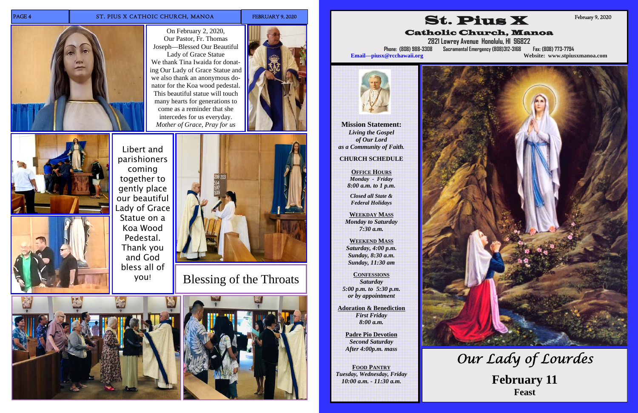#### PAGE 4 ST. PIUS X CATHOIC CHURCH, MANOA FEBRUARY 9, 2020



On February 2, 2020, Our Pastor, Fr. Thomas Joseph—Blessed Our Beautiful

Lady of Grace Statue We thank Tina Iwaida for donating Our Lady of Grace Statue and we also thank an anonymous donator for the Koa wood pedestal. This beautiful statue will touch many hearts for generations to come as a reminder that she intercedes for us everyday. *Mother of Grace, Pray for us* 



Blessing of the Throats









Libert and parishioners coming together to gently place our beautiful Lady of Grace Statue on a Koa Wood Pedestal. Thank you and God bless all of you!



**Mission Statement:**  *Living the Gospel of Our Lord as a Community of Faith.* 

#### **CHURCH SCHEDULE**

**OFFICE HOURS***Monday - Friday 8:00 a.m. to 1 p.m.* 

*Closed all State & Federal Holidays* 

**WEEKDAY MASS***Monday to Saturday 7:30 a.m.* 

**WEEKEND MASS** *Saturday, 4:00 p.m. Sunday, 8:30 a.m. Sunday, 11:30 am* 

**CONFESSIONS***Saturday 5:00 p.m. to 5:30 p.m. or by appointment* 

**Adoration & Benediction**  *First Friday 8:00 a.m.* 

**Padre Pio Devotion**  *Second Saturday After 4:00p.m. mass* 

**FOOD PANTRY** *Tuesday, Wednesday, Friday 10:00 a.m. - 11:30 a.m.* 





**2821 Lowrey Avenue Honolulu, HI 96822** 

**Phone: (808) 988-3308 Sacramental Emergency (808)312-3168 Fax: (808) 773-7794 Email—piusx@rcchawaii.org Website: www.stpiusxmanoa.com**



February 9, 2020

# *Our Lady of Lourdes*  **February 11 Feast**